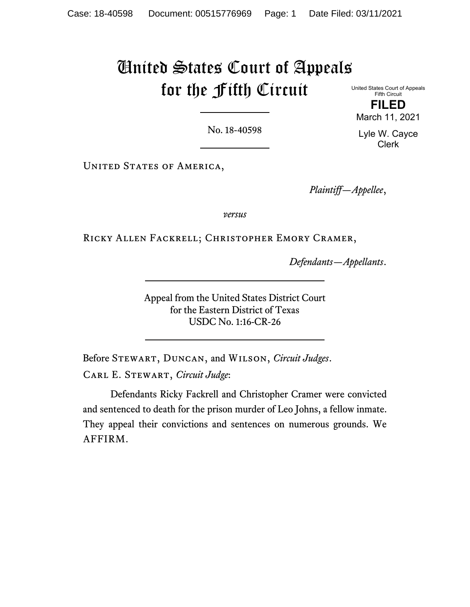# United States Court of Appeals for the Fifth Circuit

United States Court of Appeals Fifth Circuit **FILED** March 11, 2021

Lyle W. Cayce Clerk

No. 18-40598

UNITED STATES OF AMERICA,

*Plaintiff—Appellee*,

*versus*

Ricky Allen Fackrell; Christopher Emory Cramer,

*Defendants—Appellants*.

Appeal from the United States District Court for the Eastern District of Texas USDC No. 1:16-CR-26

Before Stewart, Duncan, and Wilson, *Circuit Judges*. Carl E. Stewart, *Circuit Judge*:

Defendants Ricky Fackrell and Christopher Cramer were convicted and sentenced to death for the prison murder of Leo Johns, a fellow inmate. They appeal their convictions and sentences on numerous grounds. We AFFIRM.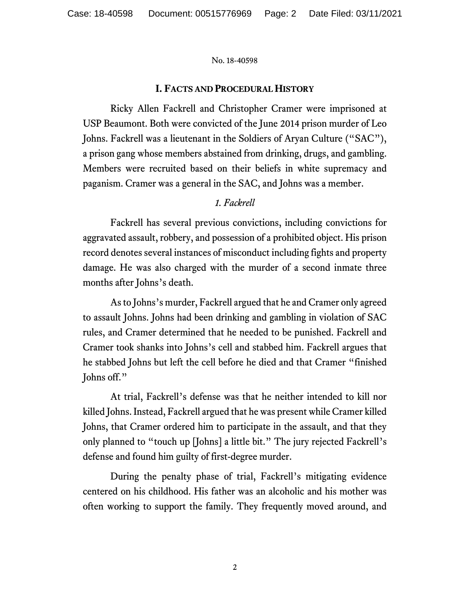## **I. FACTS AND PROCEDURAL HISTORY**

Ricky Allen Fackrell and Christopher Cramer were imprisoned at USP Beaumont. Both were convicted of the June 2014 prison murder of Leo Johns. Fackrell was a lieutenant in the Soldiers of Aryan Culture ("SAC"), a prison gang whose members abstained from drinking, drugs, and gambling. Members were recruited based on their beliefs in white supremacy and paganism. Cramer was a general in the SAC, and Johns was a member.

# *1. Fackrell*

Fackrell has several previous convictions, including convictions for aggravated assault, robbery, and possession of a prohibited object. His prison record denotes several instances of misconduct including fights and property damage. He was also charged with the murder of a second inmate three months after Johns's death.

As to Johns's murder, Fackrell argued that he and Cramer only agreed to assault Johns. Johns had been drinking and gambling in violation of SAC rules, and Cramer determined that he needed to be punished. Fackrell and Cramer took shanks into Johns's cell and stabbed him. Fackrell argues that he stabbed Johns but left the cell before he died and that Cramer "finished Johns off."

At trial, Fackrell's defense was that he neither intended to kill nor killed Johns. Instead, Fackrell argued that he was present while Cramer killed Johns, that Cramer ordered him to participate in the assault, and that they only planned to "touch up [Johns] a little bit." The jury rejected Fackrell's defense and found him guilty of first-degree murder.

During the penalty phase of trial, Fackrell's mitigating evidence centered on his childhood. His father was an alcoholic and his mother was often working to support the family. They frequently moved around, and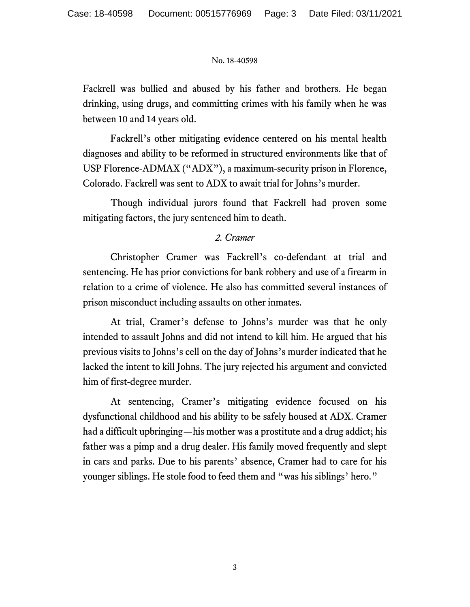Fackrell was bullied and abused by his father and brothers. He began drinking, using drugs, and committing crimes with his family when he was between 10 and 14 years old.

Fackrell's other mitigating evidence centered on his mental health diagnoses and ability to be reformed in structured environments like that of USP Florence-ADMAX ("ADX"), a maximum-security prison in Florence, Colorado. Fackrell was sent to ADX to await trial for Johns's murder.

Though individual jurors found that Fackrell had proven some mitigating factors, the jury sentenced him to death.

# *2. Cramer*

Christopher Cramer was Fackrell's co-defendant at trial and sentencing. He has prior convictions for bank robbery and use of a firearm in relation to a crime of violence. He also has committed several instances of prison misconduct including assaults on other inmates.

At trial, Cramer's defense to Johns's murder was that he only intended to assault Johns and did not intend to kill him. He argued that his previous visits to Johns's cell on the day of Johns's murder indicated that he lacked the intent to kill Johns. The jury rejected his argument and convicted him of first-degree murder.

At sentencing, Cramer's mitigating evidence focused on his dysfunctional childhood and his ability to be safely housed at ADX. Cramer had a difficult upbringing—his mother was a prostitute and a drug addict; his father was a pimp and a drug dealer. His family moved frequently and slept in cars and parks. Due to his parents' absence, Cramer had to care for his younger siblings. He stole food to feed them and "was his siblings' hero."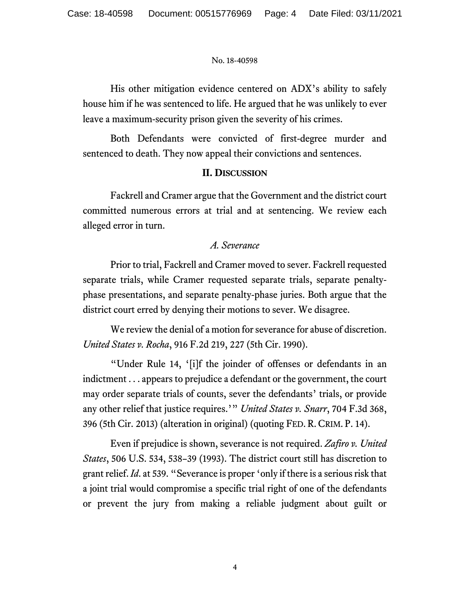His other mitigation evidence centered on ADX's ability to safely house him if he was sentenced to life. He argued that he was unlikely to ever leave a maximum-security prison given the severity of his crimes.

Both Defendants were convicted of first-degree murder and sentenced to death. They now appeal their convictions and sentences.

## **II. DISCUSSION**

Fackrell and Cramer argue that the Government and the district court committed numerous errors at trial and at sentencing. We review each alleged error in turn.

# *A. Severance*

Prior to trial, Fackrell and Cramer moved to sever. Fackrell requested separate trials, while Cramer requested separate trials, separate penaltyphase presentations, and separate penalty-phase juries. Both argue that the district court erred by denying their motions to sever. We disagree.

We review the denial of a motion for severance for abuse of discretion. *United States v. Rocha*, 916 F.2d 219, 227 (5th Cir. 1990).

"Under Rule 14, '[i]f the joinder of offenses or defendants in an indictment . . . appears to prejudice a defendant or the government, the court may order separate trials of counts, sever the defendants' trials, or provide any other relief that justice requires.'" *United States v. Snarr*, 704 F.3d 368, 396 (5th Cir. 2013) (alteration in original) (quoting FED. R. CRIM. P. 14).

Even if prejudice is shown, severance is not required. *Zafiro v. United States*, 506 U.S. 534, 538–39 (1993). The district court still has discretion to grant relief. *Id*. at 539. "Severance is proper 'only if there is a serious risk that a joint trial would compromise a specific trial right of one of the defendants or prevent the jury from making a reliable judgment about guilt or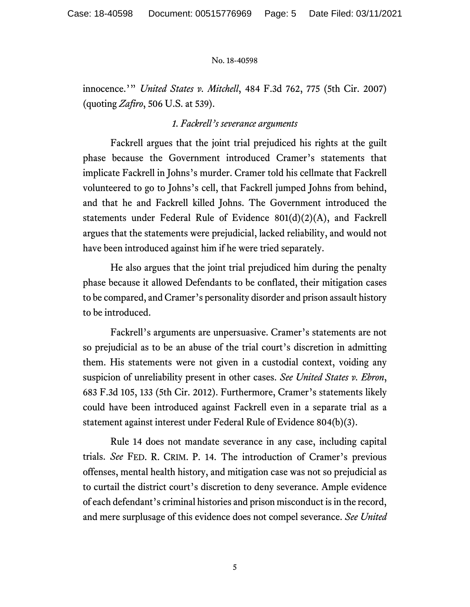innocence.'" *United States v. Mitchell*, 484 F.3d 762, 775 (5th Cir. 2007) (quoting *Zafiro*, 506 U.S. at 539).

## *1. Fackrell's severance arguments*

Fackrell argues that the joint trial prejudiced his rights at the guilt phase because the Government introduced Cramer's statements that implicate Fackrell in Johns's murder. Cramer told his cellmate that Fackrell volunteered to go to Johns's cell, that Fackrell jumped Johns from behind, and that he and Fackrell killed Johns. The Government introduced the statements under Federal Rule of Evidence 801(d)(2)(A), and Fackrell argues that the statements were prejudicial, lacked reliability, and would not have been introduced against him if he were tried separately.

He also argues that the joint trial prejudiced him during the penalty phase because it allowed Defendants to be conflated, their mitigation cases to be compared, and Cramer's personality disorder and prison assault history to be introduced.

Fackrell's arguments are unpersuasive. Cramer's statements are not so prejudicial as to be an abuse of the trial court's discretion in admitting them. His statements were not given in a custodial context, voiding any suspicion of unreliability present in other cases. *See United States v. Ebron*, 683 F.3d 105, 133 (5th Cir. 2012). Furthermore, Cramer's statements likely could have been introduced against Fackrell even in a separate trial as a statement against interest under Federal Rule of Evidence 804(b)(3).

Rule 14 does not mandate severance in any case, including capital trials. *See* FED. R. CRIM. P. 14. The introduction of Cramer's previous offenses, mental health history, and mitigation case was not so prejudicial as to curtail the district court's discretion to deny severance. Ample evidence of each defendant's criminal histories and prison misconduct is in the record, and mere surplusage of this evidence does not compel severance. *See United*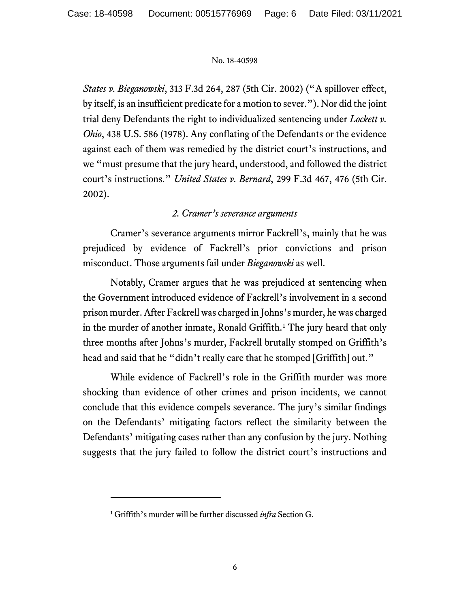*States v. Bieganowski*, 313 F.3d 264, 287 (5th Cir. 2002) ("A spillover effect, by itself, is an insufficient predicate for a motion to sever."). Nor did the joint trial deny Defendants the right to individualized sentencing under *Lockett v. Ohio*, 438 U.S. 586 (1978). Any conflating of the Defendants or the evidence against each of them was remedied by the district court's instructions, and we "must presume that the jury heard, understood, and followed the district court's instructions." *United States v. Bernard*, 299 F.3d 467, 476 (5th Cir. 2002).

# *2. Cramer's severance arguments*

Cramer's severance arguments mirror Fackrell's, mainly that he was prejudiced by evidence of Fackrell's prior convictions and prison misconduct. Those arguments fail under *Bieganowski* as well.

Notably, Cramer argues that he was prejudiced at sentencing when the Government introduced evidence of Fackrell's involvement in a second prison murder. After Fackrell was charged in Johns's murder, he was charged in the murder of another inmate, Ronald Griffith.<sup>[1](#page-5-0)</sup> The jury heard that only three months after Johns's murder, Fackrell brutally stomped on Griffith's head and said that he "didn't really care that he stomped [Griffith] out."

While evidence of Fackrell's role in the Griffith murder was more shocking than evidence of other crimes and prison incidents, we cannot conclude that this evidence compels severance. The jury's similar findings on the Defendants' mitigating factors reflect the similarity between the Defendants' mitigating cases rather than any confusion by the jury. Nothing suggests that the jury failed to follow the district court's instructions and

<span id="page-5-0"></span><sup>1</sup> Griffith's murder will be further discussed *infra* Section G.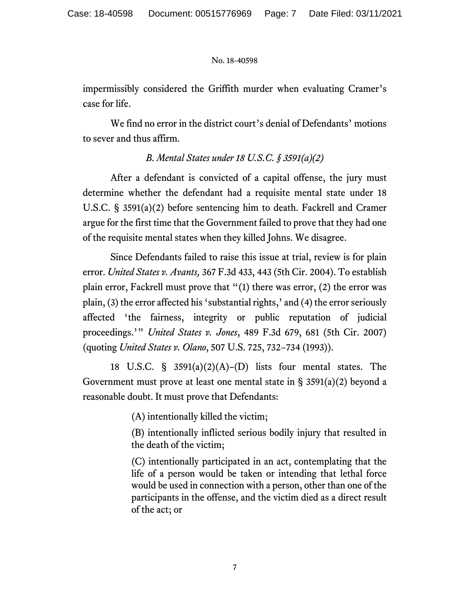impermissibly considered the Griffith murder when evaluating Cramer's case for life.

We find no error in the district court's denial of Defendants' motions to sever and thus affirm.

# *B. Mental States under 18 U.S.C. § 3591(a)(2)*

After a defendant is convicted of a capital offense, the jury must determine whether the defendant had a requisite mental state under 18 U.S.C. § 3591(a)(2) before sentencing him to death. Fackrell and Cramer argue for the first time that the Government failed to prove that they had one of the requisite mental states when they killed Johns. We disagree.

Since Defendants failed to raise this issue at trial, review is for plain error. *United States v. Avants,* 367 F.3d 433, 443 (5th Cir. 2004). To establish plain error, Fackrell must prove that "(1) there was error, (2) the error was plain, (3) the error affected his 'substantial rights,' and (4) the error seriously affected 'the fairness, integrity or public reputation of judicial proceedings.'" *United States v. Jones*, 489 F.3d 679, 681 (5th Cir. 2007) (quoting *United States v. Olano*, 507 U.S. 725, 732−734 (1993)).

18 U.S.C.  $\S$  3591(a)(2)(A)–(D) lists four mental states. The Government must prove at least one mental state in  $\S$  3591(a)(2) beyond a reasonable doubt. It must prove that Defendants:

(A) intentionally killed the victim;

(B) intentionally inflicted serious bodily injury that resulted in the death of the victim;

(C) intentionally participated in an act, contemplating that the life of a person would be taken or intending that lethal force would be used in connection with a person, other than one of the participants in the offense, and the victim died as a direct result of the act; or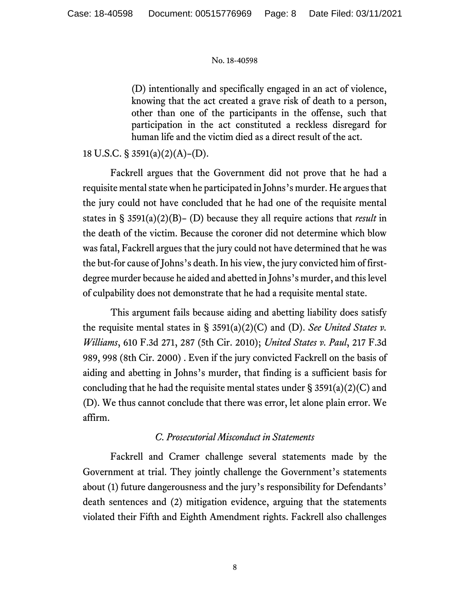(D) intentionally and specifically engaged in an act of violence, knowing that the act created a grave risk of death to a person, other than one of the participants in the offense, such that participation in the act constituted a reckless disregard for human life and the victim died as a direct result of the act.

# 18 U.S.C. § 3591(a)(2)(A)–(D).

Fackrell argues that the Government did not prove that he had a requisite mental state when he participated in Johns's murder. He argues that the jury could not have concluded that he had one of the requisite mental states in § 3591(a)(2)(B)– (D) because they all require actions that *result* in the death of the victim. Because the coroner did not determine which blow was fatal, Fackrell argues that the jury could not have determined that he was the but-for cause of Johns's death. In his view, the jury convicted him of firstdegree murder because he aided and abetted in Johns's murder, and this level of culpability does not demonstrate that he had a requisite mental state.

This argument fails because aiding and abetting liability does satisfy the requisite mental states in § 3591(a)(2)(C) and (D). *See United States v. Williams*, 610 F.3d 271, 287 (5th Cir. 2010); *United States v. Paul*, 217 F.3d 989, 998 (8th Cir. 2000) . Even if the jury convicted Fackrell on the basis of aiding and abetting in Johns's murder, that finding is a sufficient basis for concluding that he had the requisite mental states under  $\S$  3591(a)(2)(C) and (D). We thus cannot conclude that there was error, let alone plain error. We affirm.

## *C. Prosecutorial Misconduct in Statements*

Fackrell and Cramer challenge several statements made by the Government at trial. They jointly challenge the Government's statements about (1) future dangerousness and the jury's responsibility for Defendants' death sentences and (2) mitigation evidence, arguing that the statements violated their Fifth and Eighth Amendment rights. Fackrell also challenges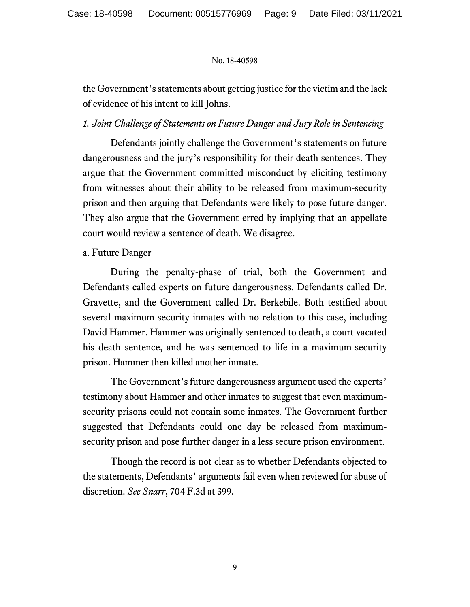the Government's statements about getting justice for the victim and the lack of evidence of his intent to kill Johns.

# *1. Joint Challenge of Statements on Future Danger and Jury Role in Sentencing*

Defendants jointly challenge the Government's statements on future dangerousness and the jury's responsibility for their death sentences. They argue that the Government committed misconduct by eliciting testimony from witnesses about their ability to be released from maximum-security prison and then arguing that Defendants were likely to pose future danger. They also argue that the Government erred by implying that an appellate court would review a sentence of death. We disagree.

# a. Future Danger

During the penalty-phase of trial, both the Government and Defendants called experts on future dangerousness. Defendants called Dr. Gravette, and the Government called Dr. Berkebile. Both testified about several maximum-security inmates with no relation to this case, including David Hammer. Hammer was originally sentenced to death, a court vacated his death sentence, and he was sentenced to life in a maximum-security prison. Hammer then killed another inmate.

The Government's future dangerousness argument used the experts' testimony about Hammer and other inmates to suggest that even maximumsecurity prisons could not contain some inmates. The Government further suggested that Defendants could one day be released from maximumsecurity prison and pose further danger in a less secure prison environment.

Though the record is not clear as to whether Defendants objected to the statements, Defendants' arguments fail even when reviewed for abuse of discretion. *See Snarr*, 704 F.3d at 399.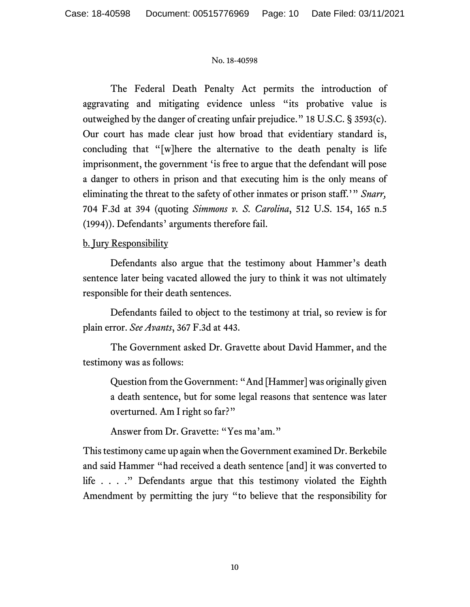The Federal Death Penalty Act permits the introduction of aggravating and mitigating evidence unless "its probative value is outweighed by the danger of creating unfair prejudice." 18 U.S.C. § 3593(c). Our court has made clear just how broad that evidentiary standard is, concluding that "[w]here the alternative to the death penalty is life imprisonment, the government 'is free to argue that the defendant will pose a danger to others in prison and that executing him is the only means of eliminating the threat to the safety of other inmates or prison staff.'" *Snarr,*  704 F.3d at 394 (quoting *Simmons v. S. Carolina*, 512 U.S. 154, 165 n.5 (1994)). Defendants' arguments therefore fail.

# b. Jury Responsibility

Defendants also argue that the testimony about Hammer's death sentence later being vacated allowed the jury to think it was not ultimately responsible for their death sentences.

Defendants failed to object to the testimony at trial, so review is for plain error. *See Avants*, 367 F.3d at 443.

The Government asked Dr. Gravette about David Hammer, and the testimony was as follows:

Question from the Government: "And [Hammer] was originally given a death sentence, but for some legal reasons that sentence was later overturned. Am I right so far?"

Answer from Dr. Gravette: "Yes ma'am."

This testimony came up again when the Government examined Dr. Berkebile and said Hammer "had received a death sentence [and] it was converted to life . . . ." Defendants argue that this testimony violated the Eighth Amendment by permitting the jury "to believe that the responsibility for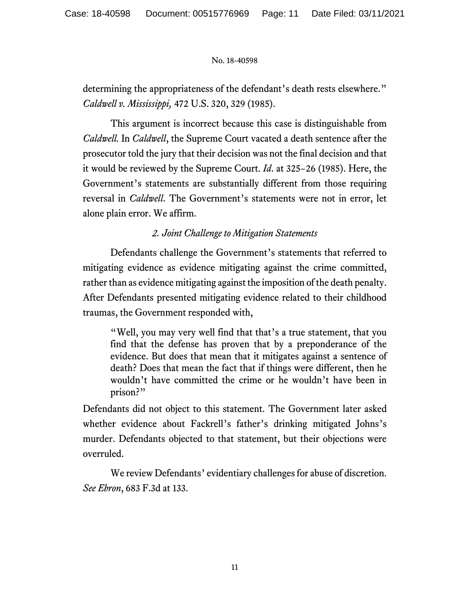determining the appropriateness of the defendant's death rests elsewhere." *Caldwell v. Mississippi,* 472 U.S. 320, 329 (1985).

This argument is incorrect because this case is distinguishable from *Caldwell.* In *Caldwell*, the Supreme Court vacated a death sentence after the prosecutor told the jury that their decision was not the final decision and that it would be reviewed by the Supreme Court. *Id*. at 325−26 (1985). Here, the Government's statements are substantially different from those requiring reversal in *Caldwell*. The Government's statements were not in error, let alone plain error. We affirm.

*2. Joint Challenge to Mitigation Statements*

Defendants challenge the Government's statements that referred to mitigating evidence as evidence mitigating against the crime committed, rather than as evidence mitigating against the imposition of the death penalty. After Defendants presented mitigating evidence related to their childhood traumas, the Government responded with,

"Well, you may very well find that that's a true statement, that you find that the defense has proven that by a preponderance of the evidence. But does that mean that it mitigates against a sentence of death? Does that mean the fact that if things were different, then he wouldn't have committed the crime or he wouldn't have been in prison?"

Defendants did not object to this statement. The Government later asked whether evidence about Fackrell's father's drinking mitigated Johns's murder. Defendants objected to that statement, but their objections were overruled.

We review Defendants' evidentiary challenges for abuse of discretion. *See Ebron*, 683 F.3d at 133.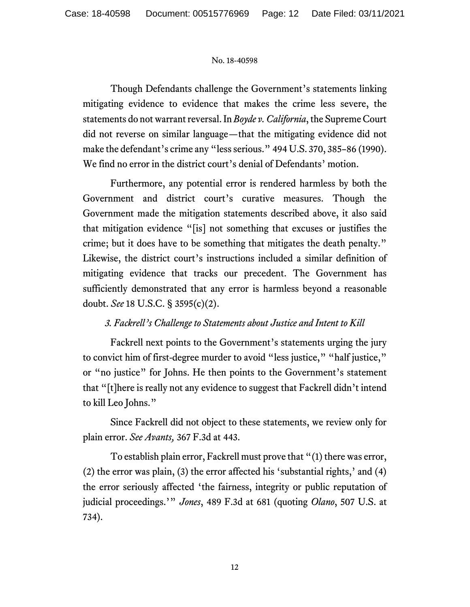Though Defendants challenge the Government's statements linking mitigating evidence to evidence that makes the crime less severe, the statements do not warrant reversal. In *Boyde v. California*, the Supreme Court did not reverse on similar language—that the mitigating evidence did not make the defendant's crime any "less serious." 494 U.S. 370, 385–86 (1990). We find no error in the district court's denial of Defendants' motion.

Furthermore, any potential error is rendered harmless by both the Government and district court's curative measures. Though the Government made the mitigation statements described above, it also said that mitigation evidence "[is] not something that excuses or justifies the crime; but it does have to be something that mitigates the death penalty." Likewise, the district court's instructions included a similar definition of mitigating evidence that tracks our precedent. The Government has sufficiently demonstrated that any error is harmless beyond a reasonable doubt. *See* 18 U.S.C. § 3595(c)(2).

# *3. Fackrell's Challenge to Statements about Justice and Intent to Kill*

Fackrell next points to the Government's statements urging the jury to convict him of first-degree murder to avoid "less justice," "half justice," or "no justice" for Johns. He then points to the Government's statement that "[t]here is really not any evidence to suggest that Fackrell didn't intend to kill Leo Johns."

Since Fackrell did not object to these statements, we review only for plain error. *See Avants,* 367 F.3d at 443.

To establish plain error, Fackrell must prove that "(1) there was error, (2) the error was plain, (3) the error affected his 'substantial rights,' and (4) the error seriously affected 'the fairness, integrity or public reputation of judicial proceedings.'" *Jones*, 489 F.3d at 681 (quoting *Olano*, 507 U.S. at 734).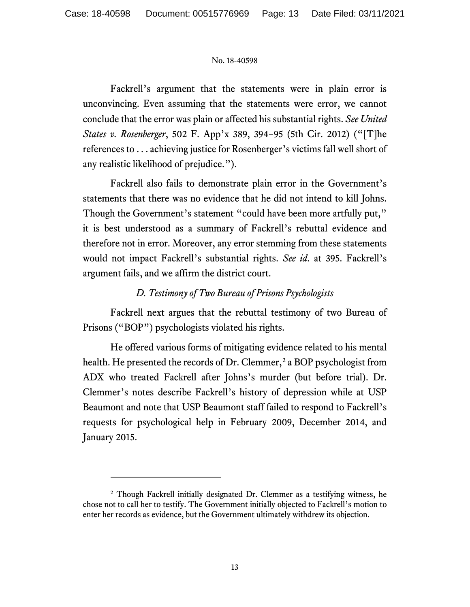Fackrell's argument that the statements were in plain error is unconvincing. Even assuming that the statements were error, we cannot conclude that the error was plain or affected his substantial rights. *See United States v. Rosenberger*, 502 F. App'x 389, 394−95 (5th Cir. 2012) ("[T]he references to . . . achieving justice for Rosenberger's victims fall well short of any realistic likelihood of prejudice.").

Fackrell also fails to demonstrate plain error in the Government's statements that there was no evidence that he did not intend to kill Johns. Though the Government's statement "could have been more artfully put," it is best understood as a summary of Fackrell's rebuttal evidence and therefore not in error. Moreover, any error stemming from these statements would not impact Fackrell's substantial rights. *See id*. at 395. Fackrell's argument fails, and we affirm the district court.

# *D. Testimony of Two Bureau of Prisons Psychologists*

Fackrell next argues that the rebuttal testimony of two Bureau of Prisons ("BOP") psychologists violated his rights.

He offered various forms of mitigating evidence related to his mental health. He presented the records of Dr. Clemmer,<sup>[2](#page-12-0)</sup> a BOP psychologist from ADX who treated Fackrell after Johns's murder (but before trial). Dr. Clemmer's notes describe Fackrell's history of depression while at USP Beaumont and note that USP Beaumont staff failed to respond to Fackrell's requests for psychological help in February 2009, December 2014, and January 2015.

<span id="page-12-0"></span><sup>2</sup> Though Fackrell initially designated Dr. Clemmer as a testifying witness, he chose not to call her to testify. The Government initially objected to Fackrell's motion to enter her records as evidence, but the Government ultimately withdrew its objection.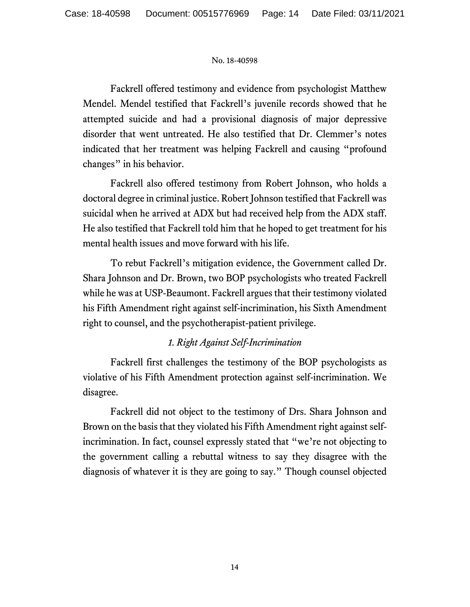Fackrell offered testimony and evidence from psychologist Matthew Mendel. Mendel testified that Fackrell's juvenile records showed that he attempted suicide and had a provisional diagnosis of major depressive disorder that went untreated. He also testified that Dr. Clemmer's notes indicated that her treatment was helping Fackrell and causing "profound changes" in his behavior.

Fackrell also offered testimony from Robert Johnson, who holds a doctoral degree in criminal justice. Robert Johnson testified that Fackrell was suicidal when he arrived at ADX but had received help from the ADX staff. He also testified that Fackrell told him that he hoped to get treatment for his mental health issues and move forward with his life.

To rebut Fackrell's mitigation evidence, the Government called Dr. Shara Johnson and Dr. Brown, two BOP psychologists who treated Fackrell while he was at USP-Beaumont. Fackrell argues that their testimony violated his Fifth Amendment right against self-incrimination, his Sixth Amendment right to counsel, and the psychotherapist-patient privilege.

# *1. Right Against Self-Incrimination*

Fackrell first challenges the testimony of the BOP psychologists as violative of his Fifth Amendment protection against self-incrimination. We disagree.

Fackrell did not object to the testimony of Drs. Shara Johnson and Brown on the basis that they violated his Fifth Amendment right against selfincrimination. In fact, counsel expressly stated that "we're not objecting to the government calling a rebuttal witness to say they disagree with the diagnosis of whatever it is they are going to say." Though counsel objected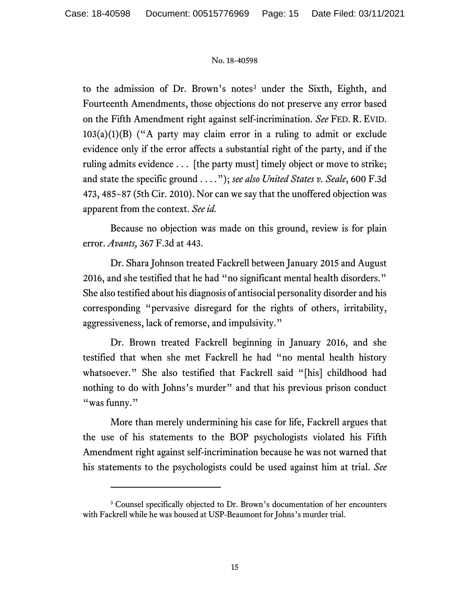to the admission of Dr. Brown's notes<sup>[3](#page-14-0)</sup> under the Sixth, Eighth, and Fourteenth Amendments, those objections do not preserve any error based on the Fifth Amendment right against self-incrimination. *See* FED. R. EVID.  $103(a)(1)(B)$  ("A party may claim error in a ruling to admit or exclude evidence only if the error affects a substantial right of the party, and if the ruling admits evidence . . . [the party must] timely object or move to strike; and state the specific ground . . . *.*"); *see also United States v. Seale*, 600 F.3d 473, 485−87 (5th Cir. 2010). Nor can we say that the unoffered objection was apparent from the context. *See id.*

Because no objection was made on this ground, review is for plain error. *Avants,* 367 F.3d at 443.

Dr. Shara Johnson treated Fackrell between January 2015 and August 2016, and she testified that he had "no significant mental health disorders." She also testified about his diagnosis of antisocial personality disorder and his corresponding "pervasive disregard for the rights of others, irritability, aggressiveness, lack of remorse, and impulsivity."

Dr. Brown treated Fackrell beginning in January 2016, and she testified that when she met Fackrell he had "no mental health history whatsoever." She also testified that Fackrell said "[his] childhood had nothing to do with Johns's murder" and that his previous prison conduct "was funny."

More than merely undermining his case for life, Fackrell argues that the use of his statements to the BOP psychologists violated his Fifth Amendment right against self-incrimination because he was not warned that his statements to the psychologists could be used against him at trial. *See* 

<span id="page-14-0"></span><sup>&</sup>lt;sup>3</sup> Counsel specifically objected to Dr. Brown's documentation of her encounters with Fackrell while he was housed at USP-Beaumont for Johns's murder trial.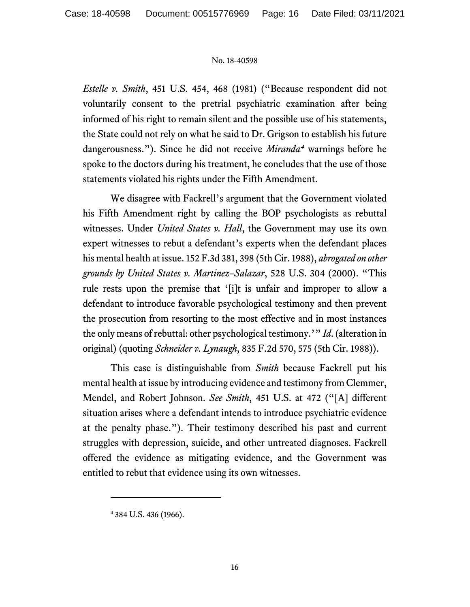*Estelle v. Smith*, 451 U.S. 454, 468 (1981) ("Because respondent did not voluntarily consent to the pretrial psychiatric examination after being informed of his right to remain silent and the possible use of his statements, the State could not rely on what he said to Dr. Grigson to establish his future dangerousness."). Since he did not receive *Miranda[4](#page-15-0)* warnings before he spoke to the doctors during his treatment, he concludes that the use of those statements violated his rights under the Fifth Amendment.

We disagree with Fackrell's argument that the Government violated his Fifth Amendment right by calling the BOP psychologists as rebuttal witnesses. Under *United States v. Hall*, the Government may use its own expert witnesses to rebut a defendant's experts when the defendant places his mental health at issue. 152 F.3d 381, 398 (5th Cir. 1988), *abrogated on other grounds by United States v. Martinez–Salazar*, 528 U.S. 304 (2000). "This rule rests upon the premise that '[i]t is unfair and improper to allow a defendant to introduce favorable psychological testimony and then prevent the prosecution from resorting to the most effective and in most instances the only means of rebuttal: other psychological testimony.'" *Id*. (alteration in original) (quoting *Schneider v. Lynaugh*, 835 F.2d 570, 575 (5th Cir. 1988)).

This case is distinguishable from *Smith* because Fackrell put his mental health at issue by introducing evidence and testimony from Clemmer, Mendel, and Robert Johnson. *See Smith*, 451 U.S. at 472 ("[A] different situation arises where a defendant intends to introduce psychiatric evidence at the penalty phase."). Their testimony described his past and current struggles with depression, suicide, and other untreated diagnoses. Fackrell offered the evidence as mitigating evidence, and the Government was entitled to rebut that evidence using its own witnesses.

<span id="page-15-0"></span><sup>4</sup> 384 U.S. 436 (1966).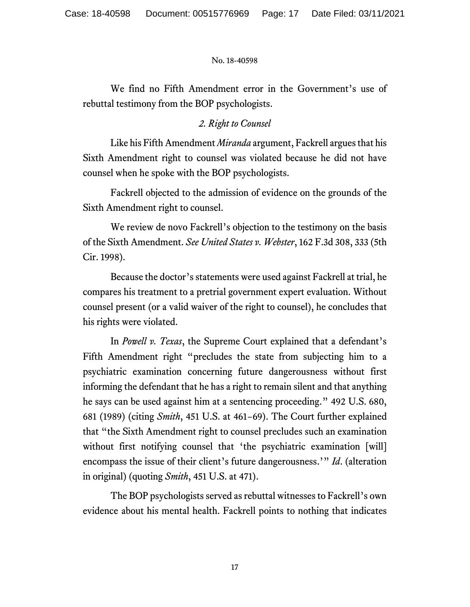We find no Fifth Amendment error in the Government's use of rebuttal testimony from the BOP psychologists.

# *2. Right to Counsel*

Like his Fifth Amendment *Miranda* argument, Fackrell argues that his Sixth Amendment right to counsel was violated because he did not have counsel when he spoke with the BOP psychologists.

Fackrell objected to the admission of evidence on the grounds of the Sixth Amendment right to counsel.

We review de novo Fackrell's objection to the testimony on the basis of the Sixth Amendment. *See United States v. Webster*, 162 F.3d 308, 333 (5th Cir. 1998).

Because the doctor's statements were used against Fackrell at trial, he compares his treatment to a pretrial government expert evaluation. Without counsel present (or a valid waiver of the right to counsel), he concludes that his rights were violated.

In *Powell v. Texas*, the Supreme Court explained that a defendant's Fifth Amendment right "precludes the state from subjecting him to a psychiatric examination concerning future dangerousness without first informing the defendant that he has a right to remain silent and that anything he says can be used against him at a sentencing proceeding." 492 U.S. 680, 681 (1989) (citing *Smith*, 451 U.S. at 461−69). The Court further explained that "the Sixth Amendment right to counsel precludes such an examination without first notifying counsel that 'the psychiatric examination [will] encompass the issue of their client's future dangerousness.'" *Id*. (alteration in original) (quoting *Smith*, 451 U.S. at 471).

The BOP psychologists served as rebuttal witnesses to Fackrell's own evidence about his mental health. Fackrell points to nothing that indicates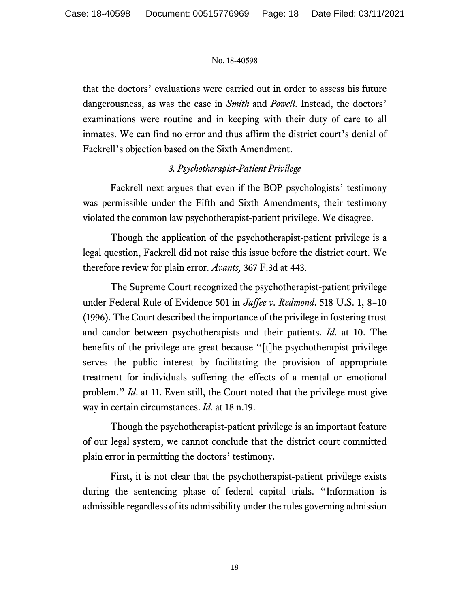that the doctors' evaluations were carried out in order to assess his future dangerousness, as was the case in *Smith* and *Powell*. Instead, the doctors' examinations were routine and in keeping with their duty of care to all inmates. We can find no error and thus affirm the district court's denial of Fackrell's objection based on the Sixth Amendment.

# *3. Psychotherapist-Patient Privilege*

Fackrell next argues that even if the BOP psychologists' testimony was permissible under the Fifth and Sixth Amendments, their testimony violated the common law psychotherapist-patient privilege. We disagree.

Though the application of the psychotherapist-patient privilege is a legal question, Fackrell did not raise this issue before the district court. We therefore review for plain error. *Avants,* 367 F.3d at 443.

The Supreme Court recognized the psychotherapist-patient privilege under Federal Rule of Evidence 501 in *Jaffee v. Redmond*. 518 U.S. 1, 8−10 (1996). The Court described the importance of the privilege in fostering trust and candor between psychotherapists and their patients. *Id*. at 10. The benefits of the privilege are great because "[t]he psychotherapist privilege serves the public interest by facilitating the provision of appropriate treatment for individuals suffering the effects of a mental or emotional problem." *Id*. at 11. Even still, the Court noted that the privilege must give way in certain circumstances. *Id.* at 18 n.19.

Though the psychotherapist-patient privilege is an important feature of our legal system, we cannot conclude that the district court committed plain error in permitting the doctors' testimony.

First, it is not clear that the psychotherapist-patient privilege exists during the sentencing phase of federal capital trials. "Information is admissible regardless of its admissibility under the rules governing admission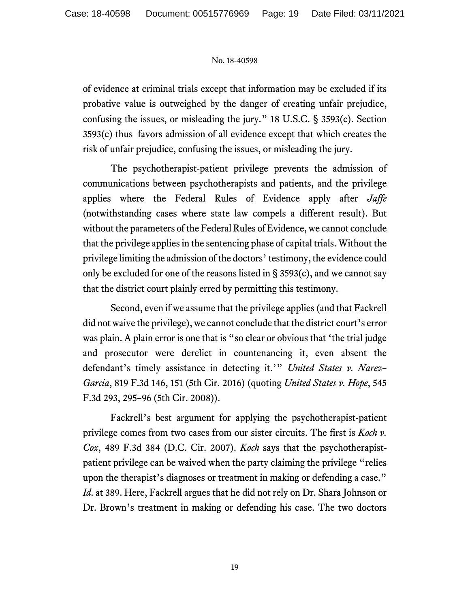of evidence at criminal trials except that information may be excluded if its probative value is outweighed by the danger of creating unfair prejudice, confusing the issues, or misleading the jury." 18 U.S.C. § 3593(c). Section 3593(c) thus favors admission of all evidence except that which creates the risk of unfair prejudice, confusing the issues, or misleading the jury.

The psychotherapist-patient privilege prevents the admission of communications between psychotherapists and patients, and the privilege applies where the Federal Rules of Evidence apply after *Jaffe* (notwithstanding cases where state law compels a different result). But without the parameters of the Federal Rules of Evidence, we cannot conclude that the privilege applies in the sentencing phase of capital trials. Without the privilege limiting the admission of the doctors' testimony, the evidence could only be excluded for one of the reasons listed in § 3593(c), and we cannot say that the district court plainly erred by permitting this testimony.

Second, even if we assume that the privilege applies (and that Fackrell did not waive the privilege), we cannot conclude that the district court's error was plain. A plain error is one that is "so clear or obvious that 'the trial judge and prosecutor were derelict in countenancing it, even absent the defendant's timely assistance in detecting it.'" *United States v. Narez– Garcia*, 819 F.3d 146, 151 (5th Cir. 2016) (quoting *United States v. Hope*, 545 F.3d 293, 295–96 (5th Cir. 2008)).

Fackrell's best argument for applying the psychotherapist-patient privilege comes from two cases from our sister circuits. The first is *Koch v. Cox*, 489 F.3d 384 (D.C. Cir. 2007). *Koch* says that the psychotherapistpatient privilege can be waived when the party claiming the privilege "relies upon the therapist's diagnoses or treatment in making or defending a case." *Id*. at 389. Here, Fackrell argues that he did not rely on Dr. Shara Johnson or Dr. Brown's treatment in making or defending his case. The two doctors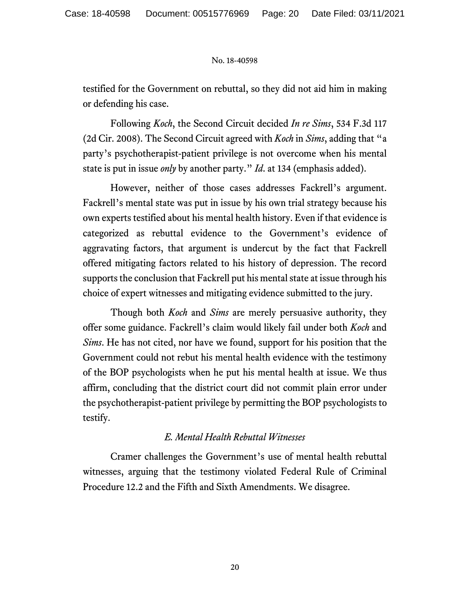testified for the Government on rebuttal, so they did not aid him in making or defending his case.

Following *Koch*, the Second Circuit decided *In re Sims*, 534 F.3d 117 (2d Cir. 2008). The Second Circuit agreed with *Koch* in *Sims*, adding that "a party's psychotherapist-patient privilege is not overcome when his mental state is put in issue *only* by another party." *Id*. at 134 (emphasis added).

However, neither of those cases addresses Fackrell's argument. Fackrell's mental state was put in issue by his own trial strategy because his own experts testified about his mental health history. Even if that evidence is categorized as rebuttal evidence to the Government's evidence of aggravating factors, that argument is undercut by the fact that Fackrell offered mitigating factors related to his history of depression. The record supports the conclusion that Fackrell put his mental state at issue through his choice of expert witnesses and mitigating evidence submitted to the jury.

Though both *Koch* and *Sims* are merely persuasive authority, they offer some guidance. Fackrell's claim would likely fail under both *Koch* and *Sims*. He has not cited, nor have we found, support for his position that the Government could not rebut his mental health evidence with the testimony of the BOP psychologists when he put his mental health at issue. We thus affirm, concluding that the district court did not commit plain error under the psychotherapist-patient privilege by permitting the BOP psychologists to testify.

## *E. Mental Health Rebuttal Witnesses*

Cramer challenges the Government's use of mental health rebuttal witnesses, arguing that the testimony violated Federal Rule of Criminal Procedure 12.2 and the Fifth and Sixth Amendments. We disagree.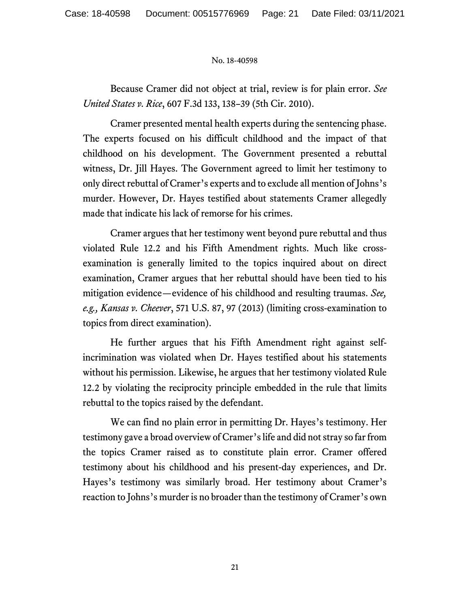Because Cramer did not object at trial, review is for plain error. *See United States v. Rice*, 607 F.3d 133, 138–39 (5th Cir. 2010).

Cramer presented mental health experts during the sentencing phase. The experts focused on his difficult childhood and the impact of that childhood on his development. The Government presented a rebuttal witness, Dr. Jill Hayes. The Government agreed to limit her testimony to only direct rebuttal of Cramer's experts and to exclude all mention of Johns's murder. However, Dr. Hayes testified about statements Cramer allegedly made that indicate his lack of remorse for his crimes.

Cramer argues that her testimony went beyond pure rebuttal and thus violated Rule 12.2 and his Fifth Amendment rights. Much like crossexamination is generally limited to the topics inquired about on direct examination, Cramer argues that her rebuttal should have been tied to his mitigation evidence—evidence of his childhood and resulting traumas. *See, e.g., Kansas v. Cheever*, 571 U.S. 87, 97 (2013) (limiting cross-examination to topics from direct examination).

He further argues that his Fifth Amendment right against selfincrimination was violated when Dr. Hayes testified about his statements without his permission. Likewise, he argues that her testimony violated Rule 12.2 by violating the reciprocity principle embedded in the rule that limits rebuttal to the topics raised by the defendant.

We can find no plain error in permitting Dr. Hayes's testimony. Her testimony gave a broad overview of Cramer's life and did not stray so far from the topics Cramer raised as to constitute plain error. Cramer offered testimony about his childhood and his present-day experiences, and Dr. Hayes's testimony was similarly broad. Her testimony about Cramer's reaction to Johns's murder is no broader than the testimony of Cramer's own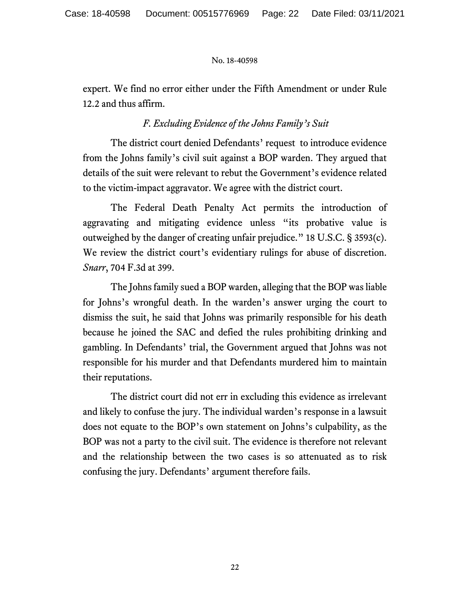expert. We find no error either under the Fifth Amendment or under Rule 12.2 and thus affirm.

# *F. Excluding Evidence of the Johns Family's Suit*

The district court denied Defendants' request to introduce evidence from the Johns family's civil suit against a BOP warden. They argued that details of the suit were relevant to rebut the Government's evidence related to the victim-impact aggravator. We agree with the district court.

The Federal Death Penalty Act permits the introduction of aggravating and mitigating evidence unless "its probative value is outweighed by the danger of creating unfair prejudice." 18 U.S.C. § 3593(c). We review the district court's evidentiary rulings for abuse of discretion. *Snarr*, 704 F.3d at 399.

The Johns family sued a BOP warden, alleging that the BOP was liable for Johns's wrongful death. In the warden's answer urging the court to dismiss the suit, he said that Johns was primarily responsible for his death because he joined the SAC and defied the rules prohibiting drinking and gambling. In Defendants' trial, the Government argued that Johns was not responsible for his murder and that Defendants murdered him to maintain their reputations.

The district court did not err in excluding this evidence as irrelevant and likely to confuse the jury. The individual warden's response in a lawsuit does not equate to the BOP's own statement on Johns's culpability, as the BOP was not a party to the civil suit. The evidence is therefore not relevant and the relationship between the two cases is so attenuated as to risk confusing the jury. Defendants' argument therefore fails.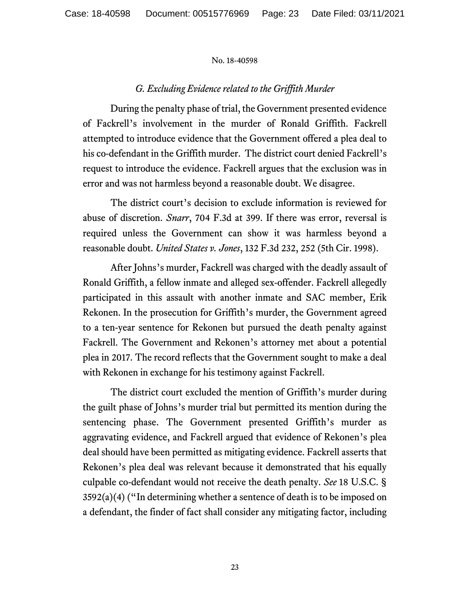## *G. Excluding Evidence related to the Griffith Murder*

During the penalty phase of trial, the Government presented evidence of Fackrell's involvement in the murder of Ronald Griffith. Fackrell attempted to introduce evidence that the Government offered a plea deal to his co-defendant in the Griffith murder. The district court denied Fackrell's request to introduce the evidence. Fackrell argues that the exclusion was in error and was not harmless beyond a reasonable doubt. We disagree.

The district court's decision to exclude information is reviewed for abuse of discretion. *Snarr*, 704 F.3d at 399. If there was error, reversal is required unless the Government can show it was harmless beyond a reasonable doubt. *United States v. Jones*, 132 F.3d 232, 252 (5th Cir. 1998).

After Johns's murder, Fackrell was charged with the deadly assault of Ronald Griffith, a fellow inmate and alleged sex-offender. Fackrell allegedly participated in this assault with another inmate and SAC member, Erik Rekonen. In the prosecution for Griffith's murder, the Government agreed to a ten-year sentence for Rekonen but pursued the death penalty against Fackrell. The Government and Rekonen's attorney met about a potential plea in 2017. The record reflects that the Government sought to make a deal with Rekonen in exchange for his testimony against Fackrell.

The district court excluded the mention of Griffith's murder during the guilt phase of Johns's murder trial but permitted its mention during the sentencing phase. The Government presented Griffith's murder as aggravating evidence, and Fackrell argued that evidence of Rekonen's plea deal should have been permitted as mitigating evidence. Fackrell asserts that Rekonen's plea deal was relevant because it demonstrated that his equally culpable co-defendant would not receive the death penalty. *See* 18 U.S.C. §  $3592(a)(4)$  ("In determining whether a sentence of death is to be imposed on a defendant, the finder of fact shall consider any mitigating factor, including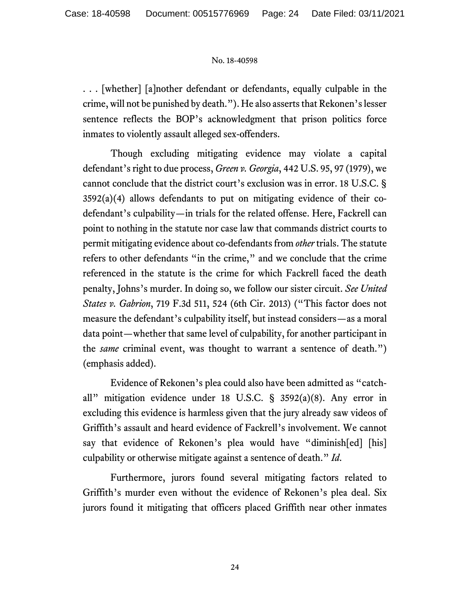. . . [whether] [a]nother defendant or defendants, equally culpable in the crime, will not be punished by death."). He also asserts that Rekonen's lesser sentence reflects the BOP's acknowledgment that prison politics force inmates to violently assault alleged sex-offenders.

Though excluding mitigating evidence may violate a capital defendant's right to due process, *Green v. Georgia*, 442 U.S. 95, 97 (1979), we cannot conclude that the district court's exclusion was in error. 18 U.S.C. §  $3592(a)(4)$  allows defendants to put on mitigating evidence of their codefendant's culpability—in trials for the related offense. Here, Fackrell can point to nothing in the statute nor case law that commands district courts to permit mitigating evidence about co-defendants from *other* trials. The statute refers to other defendants "in the crime," and we conclude that the crime referenced in the statute is the crime for which Fackrell faced the death penalty, Johns's murder. In doing so, we follow our sister circuit. *See United States v. Gabrion*, 719 F.3d 511, 524 (6th Cir. 2013) ("This factor does not measure the defendant's culpability itself, but instead considers—as a moral data point—whether that same level of culpability, for another participant in the *same* criminal event, was thought to warrant a sentence of death.") (emphasis added).

Evidence of Rekonen's plea could also have been admitted as "catchall" mitigation evidence under 18 U.S.C. § 3592(a)(8). Any error in excluding this evidence is harmless given that the jury already saw videos of Griffith's assault and heard evidence of Fackrell's involvement. We cannot say that evidence of Rekonen's plea would have "diminish[ed] [his] culpability or otherwise mitigate against a sentence of death." *Id*.

Furthermore, jurors found several mitigating factors related to Griffith's murder even without the evidence of Rekonen's plea deal. Six jurors found it mitigating that officers placed Griffith near other inmates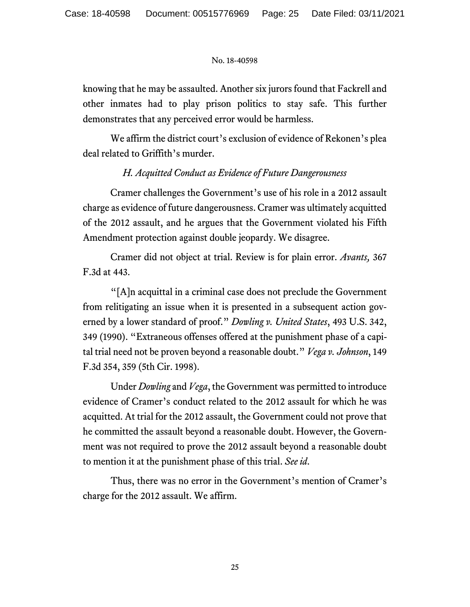knowing that he may be assaulted. Another six jurors found that Fackrell and other inmates had to play prison politics to stay safe. This further demonstrates that any perceived error would be harmless.

We affirm the district court's exclusion of evidence of Rekonen's plea deal related to Griffith's murder.

# *H. Acquitted Conduct as Evidence of Future Dangerousness*

Cramer challenges the Government's use of his role in a 2012 assault charge as evidence of future dangerousness. Cramer was ultimately acquitted of the 2012 assault, and he argues that the Government violated his Fifth Amendment protection against double jeopardy. We disagree.

Cramer did not object at trial. Review is for plain error. *Avants,* 367 F.3d at 443.

"[A]n acquittal in a criminal case does not preclude the Government from relitigating an issue when it is presented in a subsequent action governed by a lower standard of proof." *Dowling v. United States*, 493 U.S. 342, 349 (1990). "Extraneous offenses offered at the punishment phase of a capital trial need not be proven beyond a reasonable doubt." *Vega v. Johnson*, 149 F.3d 354, 359 (5th Cir. 1998).

Under *Dowling* and *Vega*, the Government was permitted to introduce evidence of Cramer's conduct related to the 2012 assault for which he was acquitted. At trial for the 2012 assault, the Government could not prove that he committed the assault beyond a reasonable doubt. However, the Government was not required to prove the 2012 assault beyond a reasonable doubt to mention it at the punishment phase of this trial. *See id*.

Thus, there was no error in the Government's mention of Cramer's charge for the 2012 assault. We affirm.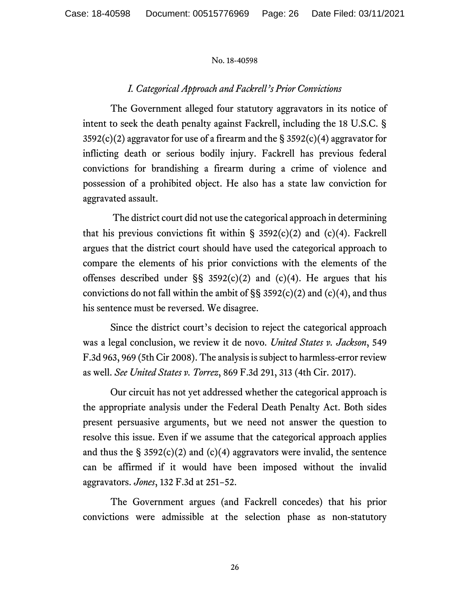### *I. Categorical Approach and Fackrell's Prior Convictions*

The Government alleged four statutory aggravators in its notice of intent to seek the death penalty against Fackrell, including the 18 U.S.C. §  $3592(c)(2)$  aggravator for use of a firearm and the § 3592(c)(4) aggravator for inflicting death or serious bodily injury. Fackrell has previous federal convictions for brandishing a firearm during a crime of violence and possession of a prohibited object. He also has a state law conviction for aggravated assault.

The district court did not use the categorical approach in determining that his previous convictions fit within  $\S$  3592(c)(2) and (c)(4). Fackrell argues that the district court should have used the categorical approach to compare the elements of his prior convictions with the elements of the offenses described under  $\S$ § 3592(c)(2) and (c)(4). He argues that his convictions do not fall within the ambit of  $\S$ § 3592(c)(2) and (c)(4), and thus his sentence must be reversed. We disagree.

Since the district court's decision to reject the categorical approach was a legal conclusion, we review it de novo. *United States v. Jackson*, 549 F.3d 963, 969 (5th Cir 2008). The analysis is subject to harmless-error review as well. *See United States v. Torrez*, 869 F.3d 291, 313 (4th Cir. 2017).

Our circuit has not yet addressed whether the categorical approach is the appropriate analysis under the Federal Death Penalty Act. Both sides present persuasive arguments, but we need not answer the question to resolve this issue. Even if we assume that the categorical approach applies and thus the  $\S$  3592(c)(2) and (c)(4) aggravators were invalid, the sentence can be affirmed if it would have been imposed without the invalid aggravators. *Jones*, 132 F.3d at 251−52.

The Government argues (and Fackrell concedes) that his prior convictions were admissible at the selection phase as non-statutory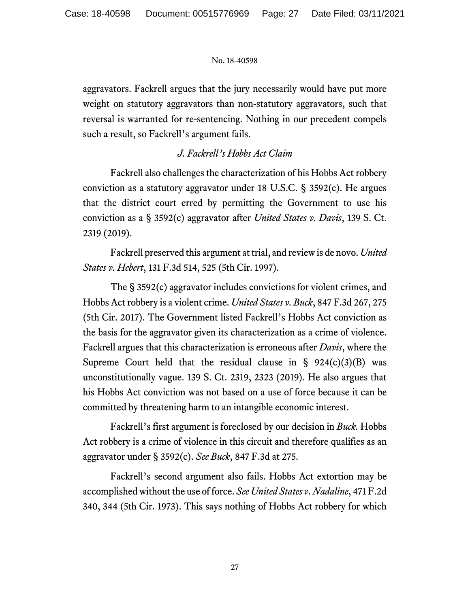aggravators. Fackrell argues that the jury necessarily would have put more weight on statutory aggravators than non-statutory aggravators, such that reversal is warranted for re-sentencing. Nothing in our precedent compels such a result, so Fackrell's argument fails.

# *J. Fackrell's Hobbs Act Claim*

Fackrell also challenges the characterization of his Hobbs Act robbery conviction as a statutory aggravator under 18 U.S.C. § 3592(c). He argues that the district court erred by permitting the Government to use his conviction as a § 3592(c) aggravator after *United States v. Davis*, 139 S. Ct. 2319 (2019).

Fackrell preserved this argument at trial, and review is de novo. *United States v. Hebert*, 131 F.3d 514, 525 (5th Cir. 1997).

The § 3592(c) aggravator includes convictions for violent crimes, and Hobbs Act robbery is a violent crime. *United States v. Buck*, 847 F.3d 267, 275 (5th Cir. 2017). The Government listed Fackrell's Hobbs Act conviction as the basis for the aggravator given its characterization as a crime of violence. Fackrell argues that this characterization is erroneous after *Davis*, where the Supreme Court held that the residual clause in §  $924(c)(3)(B)$  was unconstitutionally vague. 139 S. Ct. 2319, 2323 (2019). He also argues that his Hobbs Act conviction was not based on a use of force because it can be committed by threatening harm to an intangible economic interest.

Fackrell's first argument is foreclosed by our decision in *Buck.* Hobbs Act robbery is a crime of violence in this circuit and therefore qualifies as an aggravator under § 3592(c). *See Buck*, 847 F.3d at 275.

Fackrell's second argument also fails. Hobbs Act extortion may be accomplished without the use of force. *See United States v. Nadaline*, 471 F.2d 340, 344 (5th Cir. 1973). This says nothing of Hobbs Act robbery for which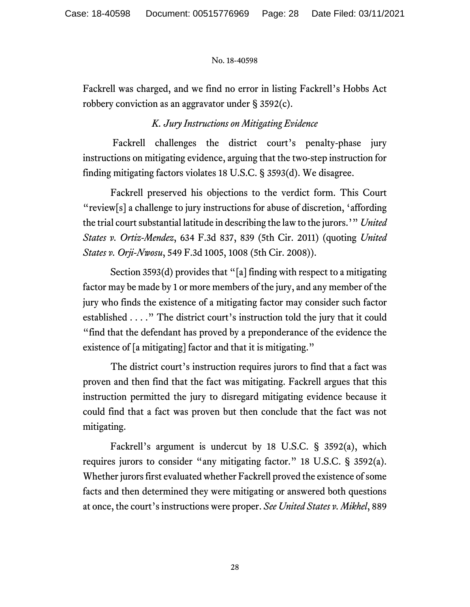Fackrell was charged, and we find no error in listing Fackrell's Hobbs Act robbery conviction as an aggravator under § 3592(c).

# *K. Jury Instructions on Mitigating Evidence*

Fackrell challenges the district court's penalty-phase jury instructions on mitigating evidence, arguing that the two-step instruction for finding mitigating factors violates 18 U.S.C. § 3593(d). We disagree.

Fackrell preserved his objections to the verdict form. This Court "review[s] a challenge to jury instructions for abuse of discretion, 'affording the trial court substantial latitude in describing the law to the jurors.'" *United States v. Ortiz-Mendez*, 634 F.3d 837, 839 (5th Cir. 2011) (quoting *United States v. Orji-Nwosu*, 549 F.3d 1005, 1008 (5th Cir. 2008)).

Section 3593(d) provides that "[a] finding with respect to a mitigating factor may be made by 1 or more members of the jury, and any member of the jury who finds the existence of a mitigating factor may consider such factor established . . . ." The district court's instruction told the jury that it could "find that the defendant has proved by a preponderance of the evidence the existence of [a mitigating] factor and that it is mitigating."

The district court's instruction requires jurors to find that a fact was proven and then find that the fact was mitigating. Fackrell argues that this instruction permitted the jury to disregard mitigating evidence because it could find that a fact was proven but then conclude that the fact was not mitigating.

Fackrell's argument is undercut by 18 U.S.C. § 3592(a), which requires jurors to consider "any mitigating factor." 18 U.S.C. § 3592(a). Whether jurors first evaluated whether Fackrell proved the existence of some facts and then determined they were mitigating or answered both questions at once, the court's instructions were proper. *See United States v. Mikhel*, 889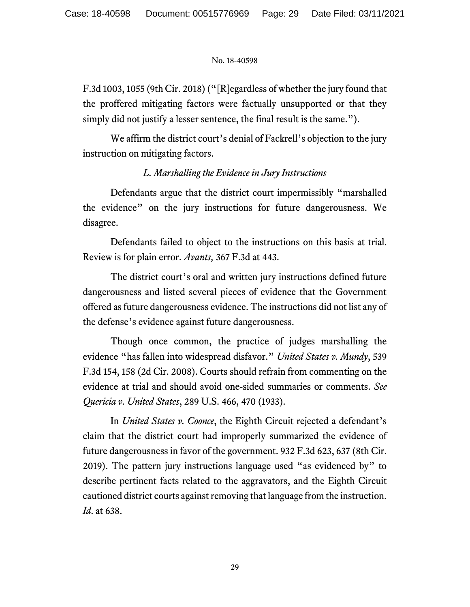F.3d 1003, 1055 (9th Cir. 2018) ("[R]egardless of whether the jury found that the proffered mitigating factors were factually unsupported or that they simply did not justify a lesser sentence, the final result is the same.").

We affirm the district court's denial of Fackrell's objection to the jury instruction on mitigating factors.

# *L. Marshalling the Evidence in Jury Instructions*

Defendants argue that the district court impermissibly "marshalled the evidence" on the jury instructions for future dangerousness. We disagree.

Defendants failed to object to the instructions on this basis at trial. Review is for plain error. *Avants,* 367 F.3d at 443.

The district court's oral and written jury instructions defined future dangerousness and listed several pieces of evidence that the Government offered as future dangerousness evidence. The instructions did not list any of the defense's evidence against future dangerousness.

Though once common, the practice of judges marshalling the evidence "has fallen into widespread disfavor." *United States v. Mundy*, 539 F.3d 154, 158 (2d Cir. 2008). Courts should refrain from commenting on the evidence at trial and should avoid one-sided summaries or comments. *See Quericia v. United States*, 289 U.S. 466, 470 (1933).

In *United States v. Coonce*, the Eighth Circuit rejected a defendant's claim that the district court had improperly summarized the evidence of future dangerousness in favor of the government. 932 F.3d 623, 637 (8th Cir. 2019). The pattern jury instructions language used "as evidenced by" to describe pertinent facts related to the aggravators, and the Eighth Circuit cautioned district courts against removing that language from the instruction. *Id*. at 638.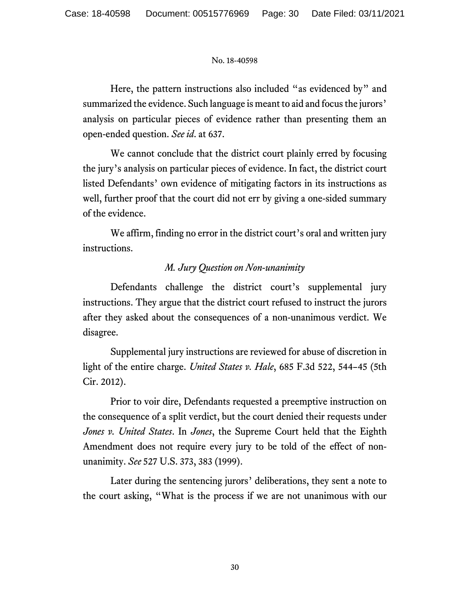Here, the pattern instructions also included "as evidenced by" and summarized the evidence. Such language is meant to aid and focus the jurors' analysis on particular pieces of evidence rather than presenting them an open-ended question. *See id*. at 637.

We cannot conclude that the district court plainly erred by focusing the jury's analysis on particular pieces of evidence. In fact, the district court listed Defendants' own evidence of mitigating factors in its instructions as well, further proof that the court did not err by giving a one-sided summary of the evidence.

We affirm, finding no error in the district court's oral and written jury instructions.

# *M. Jury Question on Non-unanimity*

Defendants challenge the district court's supplemental jury instructions. They argue that the district court refused to instruct the jurors after they asked about the consequences of a non-unanimous verdict. We disagree.

Supplemental jury instructions are reviewed for abuse of discretion in light of the entire charge. *United States v. Hale*, 685 F.3d 522, 544–45 (5th Cir. 2012).

Prior to voir dire, Defendants requested a preemptive instruction on the consequence of a split verdict, but the court denied their requests under *Jones v. United States*. In *Jones*, the Supreme Court held that the Eighth Amendment does not require every jury to be told of the effect of nonunanimity. *See* 527 U.S. 373, 383 (1999).

Later during the sentencing jurors' deliberations, they sent a note to the court asking, "What is the process if we are not unanimous with our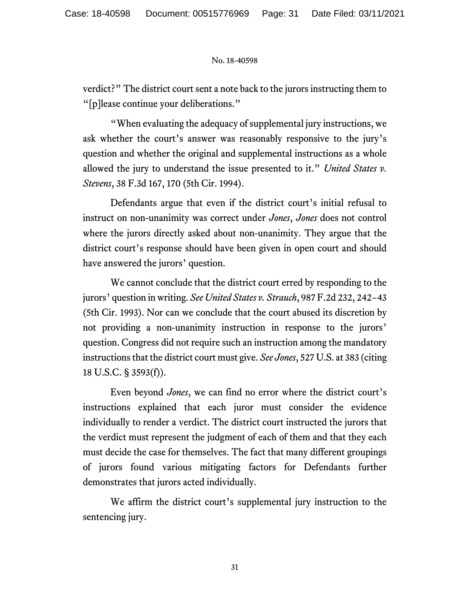verdict?" The district court sent a note back to the jurors instructing them to "[p]lease continue your deliberations."

"When evaluating the adequacy of supplemental jury instructions, we ask whether the court's answer was reasonably responsive to the jury's question and whether the original and supplemental instructions as a whole allowed the jury to understand the issue presented to it." *United States v. Stevens*, 38 F.3d 167, 170 (5th Cir. 1994).

Defendants argue that even if the district court's initial refusal to instruct on non-unanimity was correct under *Jones*, *Jones* does not control where the jurors directly asked about non-unanimity. They argue that the district court's response should have been given in open court and should have answered the jurors' question.

We cannot conclude that the district court erred by responding to the jurors' question in writing. *See United States v. Strauch*, 987 F.2d 232, 242−43 (5th Cir. 1993). Nor can we conclude that the court abused its discretion by not providing a non-unanimity instruction in response to the jurors' question. Congress did not require such an instruction among the mandatory instructions that the district court must give. *See Jones*, 527 U.S. at 383 (citing 18 U.S.C. § 3593(f)).

Even beyond *Jones*, we can find no error where the district court's instructions explained that each juror must consider the evidence individually to render a verdict. The district court instructed the jurors that the verdict must represent the judgment of each of them and that they each must decide the case for themselves. The fact that many different groupings of jurors found various mitigating factors for Defendants further demonstrates that jurors acted individually.

We affirm the district court's supplemental jury instruction to the sentencing jury.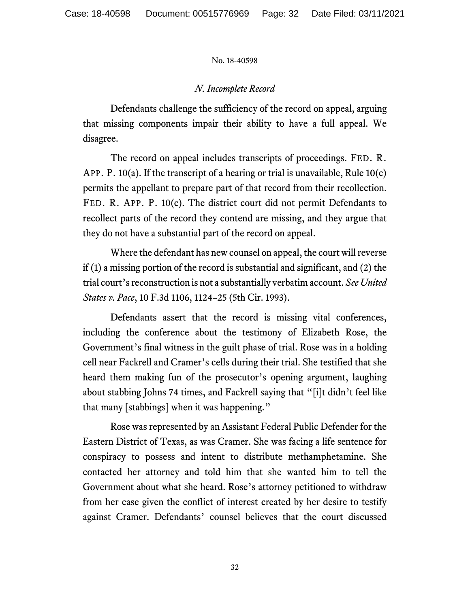# *N. Incomplete Record*

Defendants challenge the sufficiency of the record on appeal, arguing that missing components impair their ability to have a full appeal. We disagree.

The record on appeal includes transcripts of proceedings. FED. R. APP. P. 10(a). If the transcript of a hearing or trial is unavailable, Rule 10(c) permits the appellant to prepare part of that record from their recollection. FED. R. APP. P. 10(c). The district court did not permit Defendants to recollect parts of the record they contend are missing, and they argue that they do not have a substantial part of the record on appeal.

Where the defendant has new counsel on appeal, the court will reverse if (1) a missing portion of the record is substantial and significant, and (2) the trial court's reconstruction is not a substantially verbatim account. *See United States v. Pace*, 10 F.3d 1106, 1124–25 (5th Cir. 1993).

Defendants assert that the record is missing vital conferences, including the conference about the testimony of Elizabeth Rose, the Government's final witness in the guilt phase of trial. Rose was in a holding cell near Fackrell and Cramer's cells during their trial. She testified that she heard them making fun of the prosecutor's opening argument, laughing about stabbing Johns 74 times, and Fackrell saying that "[i]t didn't feel like that many [stabbings] when it was happening."

Rose was represented by an Assistant Federal Public Defender for the Eastern District of Texas, as was Cramer. She was facing a life sentence for conspiracy to possess and intent to distribute methamphetamine. She contacted her attorney and told him that she wanted him to tell the Government about what she heard. Rose's attorney petitioned to withdraw from her case given the conflict of interest created by her desire to testify against Cramer. Defendants' counsel believes that the court discussed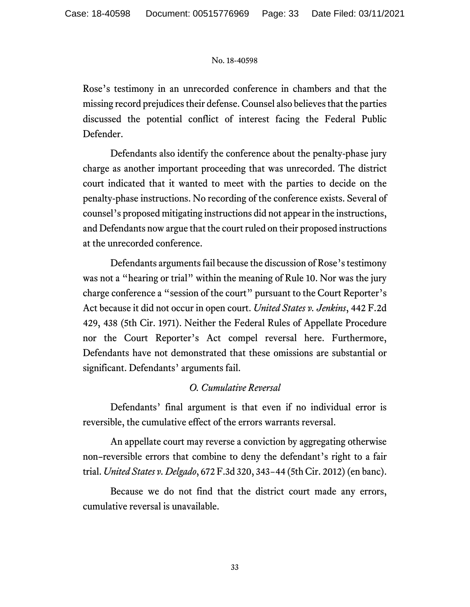Rose's testimony in an unrecorded conference in chambers and that the missing record prejudices their defense. Counsel also believes that the parties discussed the potential conflict of interest facing the Federal Public Defender.

Defendants also identify the conference about the penalty-phase jury charge as another important proceeding that was unrecorded. The district court indicated that it wanted to meet with the parties to decide on the penalty-phase instructions. No recording of the conference exists. Several of counsel's proposed mitigating instructions did not appear in the instructions, and Defendants now argue that the court ruled on their proposed instructions at the unrecorded conference.

Defendants arguments fail because the discussion of Rose's testimony was not a "hearing or trial" within the meaning of Rule 10. Nor was the jury charge conference a "session of the court" pursuant to the Court Reporter's Act because it did not occur in open court. *United States v. Jenkins*, 442 F.2d 429, 438 (5th Cir. 1971). Neither the Federal Rules of Appellate Procedure nor the Court Reporter's Act compel reversal here. Furthermore, Defendants have not demonstrated that these omissions are substantial or significant. Defendants' arguments fail.

# *O. Cumulative Reversal*

Defendants' final argument is that even if no individual error is reversible, the cumulative effect of the errors warrants reversal.

An appellate court may reverse a conviction by aggregating otherwise non–reversible errors that combine to deny the defendant's right to a fair trial. *United States v. Delgado*, 672 F.3d 320, 343−44 (5th Cir. 2012) (en banc).

Because we do not find that the district court made any errors, cumulative reversal is unavailable.